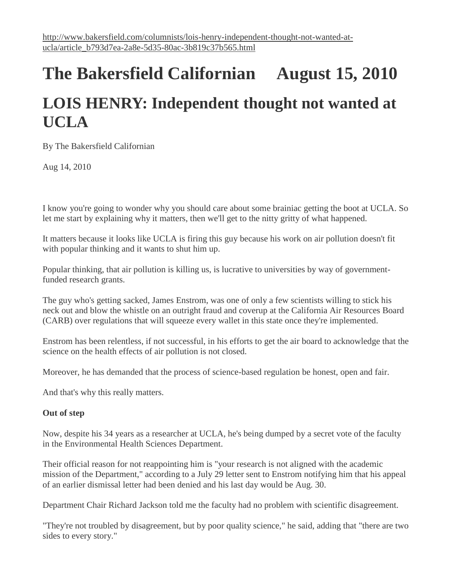# **The Bakersfield Californian August 15, 2010 LOIS HENRY: Independent thought not wanted at UCLA**

By The Bakersfield Californian

Aug 14, 2010

I know you're going to wonder why you should care about some brainiac getting the boot at UCLA. So let me start by explaining why it matters, then we'll get to the nitty gritty of what happened.

It matters because it looks like UCLA is firing this guy because his work on air pollution doesn't fit with popular thinking and it wants to shut him up.

Popular thinking, that air pollution is killing us, is lucrative to universities by way of governmentfunded research grants.

The guy who's getting sacked, James Enstrom, was one of only a few scientists willing to stick his neck out and blow the whistle on an outright fraud and coverup at the California Air Resources Board (CARB) over regulations that will squeeze every wallet in this state once they're implemented.

Enstrom has been relentless, if not successful, in his efforts to get the air board to acknowledge that the science on the health effects of air pollution is not closed.

Moreover, he has demanded that the process of science-based regulation be honest, open and fair.

And that's why this really matters.

## **Out of step**

Now, despite his 34 years as a researcher at UCLA, he's being dumped by a secret vote of the faculty in the Environmental Health Sciences Department.

Their official reason for not reappointing him is "your research is not aligned with the academic mission of the Department," according to a July 29 letter sent to Enstrom notifying him that his appeal of an earlier dismissal letter had been denied and his last day would be Aug. 30.

Department Chair Richard Jackson told me the faculty had no problem with scientific disagreement.

"They're not troubled by disagreement, but by poor quality science," he said, adding that "there are two sides to every story."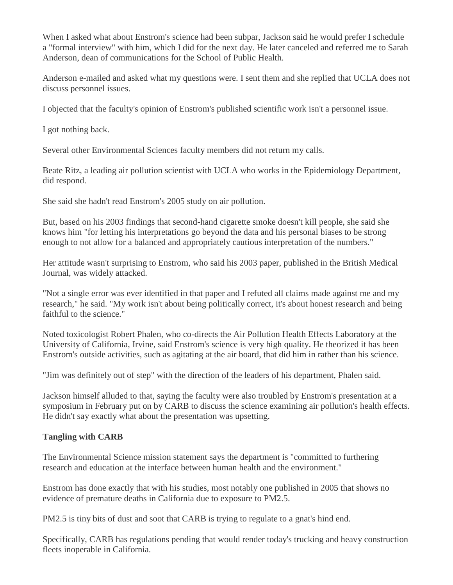When I asked what about Enstrom's science had been subpar, Jackson said he would prefer I schedule a "formal interview" with him, which I did for the next day. He later canceled and referred me to Sarah Anderson, dean of communications for the School of Public Health.

Anderson e-mailed and asked what my questions were. I sent them and she replied that UCLA does not discuss personnel issues.

I objected that the faculty's opinion of Enstrom's published scientific work isn't a personnel issue.

I got nothing back.

Several other Environmental Sciences faculty members did not return my calls.

Beate Ritz, a leading air pollution scientist with UCLA who works in the Epidemiology Department, did respond.

She said she hadn't read Enstrom's 2005 study on air pollution.

But, based on his 2003 findings that second-hand cigarette smoke doesn't kill people, she said she knows him "for letting his interpretations go beyond the data and his personal biases to be strong enough to not allow for a balanced and appropriately cautious interpretation of the numbers."

Her attitude wasn't surprising to Enstrom, who said his 2003 paper, published in the British Medical Journal, was widely attacked.

"Not a single error was ever identified in that paper and I refuted all claims made against me and my research," he said. "My work isn't about being politically correct, it's about honest research and being faithful to the science."

Noted toxicologist Robert Phalen, who co-directs the Air Pollution Health Effects Laboratory at the University of California, Irvine, said Enstrom's science is very high quality. He theorized it has been Enstrom's outside activities, such as agitating at the air board, that did him in rather than his science.

"Jim was definitely out of step" with the direction of the leaders of his department, Phalen said.

Jackson himself alluded to that, saying the faculty were also troubled by Enstrom's presentation at a symposium in February put on by CARB to discuss the science examining air pollution's health effects. He didn't say exactly what about the presentation was upsetting.

# **Tangling with CARB**

The Environmental Science mission statement says the department is "committed to furthering research and education at the interface between human health and the environment."

Enstrom has done exactly that with his studies, most notably one published in 2005 that shows no evidence of premature deaths in California due to exposure to PM2.5.

PM2.5 is tiny bits of dust and soot that CARB is trying to regulate to a gnat's hind end.

Specifically, CARB has regulations pending that would render today's trucking and heavy construction fleets inoperable in California.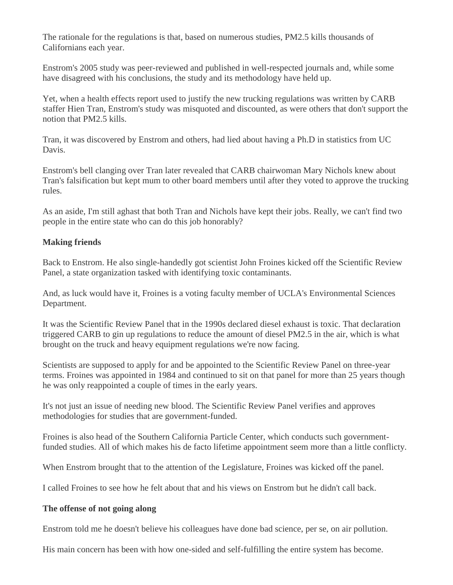The rationale for the regulations is that, based on numerous studies, PM2.5 kills thousands of Californians each year.

Enstrom's 2005 study was peer-reviewed and published in well-respected journals and, while some have disagreed with his conclusions, the study and its methodology have held up.

Yet, when a health effects report used to justify the new trucking regulations was written by CARB staffer Hien Tran, Enstrom's study was misquoted and discounted, as were others that don't support the notion that PM2.5 kills.

Tran, it was discovered by Enstrom and others, had lied about having a Ph.D in statistics from UC Davis.

Enstrom's bell clanging over Tran later revealed that CARB chairwoman Mary Nichols knew about Tran's falsification but kept mum to other board members until after they voted to approve the trucking rules.

As an aside, I'm still aghast that both Tran and Nichols have kept their jobs. Really, we can't find two people in the entire state who can do this job honorably?

## **Making friends**

Back to Enstrom. He also single-handedly got scientist John Froines kicked off the Scientific Review Panel, a state organization tasked with identifying toxic contaminants.

And, as luck would have it, Froines is a voting faculty member of UCLA's Environmental Sciences Department.

It was the Scientific Review Panel that in the 1990s declared diesel exhaust is toxic. That declaration triggered CARB to gin up regulations to reduce the amount of diesel PM2.5 in the air, which is what brought on the truck and heavy equipment regulations we're now facing.

Scientists are supposed to apply for and be appointed to the Scientific Review Panel on three-year terms. Froines was appointed in 1984 and continued to sit on that panel for more than 25 years though he was only reappointed a couple of times in the early years.

It's not just an issue of needing new blood. The Scientific Review Panel verifies and approves methodologies for studies that are government-funded.

Froines is also head of the Southern California Particle Center, which conducts such governmentfunded studies. All of which makes his de facto lifetime appointment seem more than a little conflicty.

When Enstrom brought that to the attention of the Legislature, Froines was kicked off the panel.

I called Froines to see how he felt about that and his views on Enstrom but he didn't call back.

#### **The offense of not going along**

Enstrom told me he doesn't believe his colleagues have done bad science, per se, on air pollution.

His main concern has been with how one-sided and self-fulfilling the entire system has become.